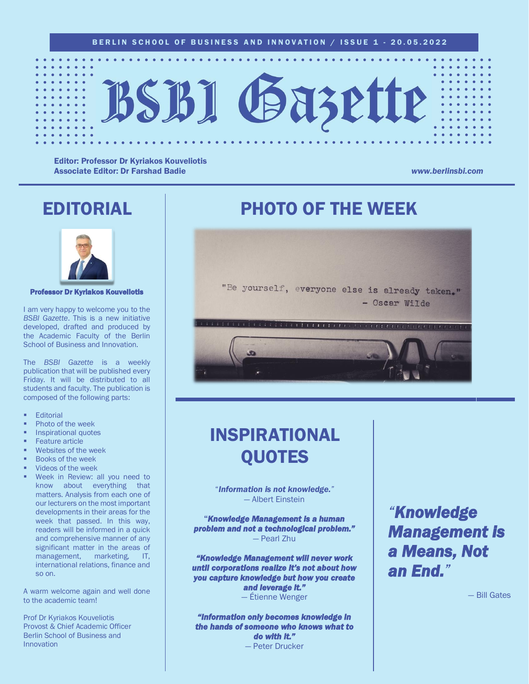

Editor: Professor Dr Kyriakos Kouveliotis Associate Editor: Dr Farshad Badie *www.berlinsbi.com*

## EDITORIAL



Professor Dr Kyriakos Kouveliotis

I am very happy to welcome you to the *BSBI Gazette*. This is a new initiative developed, drafted and produced by the Academic Faculty of the Berlin School of Business and Innovation.

The *BSBI Gazette* is a weekly publication that will be published every Friday. It will be distributed to all students and faculty. The publication is composed of the following parts:

- **Editorial**
- Photo of the week
- Inspirational quotes
- **Feature article**
- Websites of the week
- **Books of the week**
- Videos of the week
- Week in Review: all you need to know about everything that matters. Analysis from each one of our lecturers on the most important developments in their areas for the week that passed. In this way, readers will be informed in a quick and comprehensive manner of any significant matter in the areas of management, marketing, IT, international relations, finance and so on.

A warm welcome again and well done to the academic team!

Prof Dr Kyriakos Kouveliotis Provost & Chief Academic Officer Berlin School of Business and Innovation

## PHOTO OF THE WEEK



## INSPIRATIONAL QUOTES

"*Information is not knowledge."* — Albert Einstein

"*Knowledge Management is a human problem and not a technological problem."*  — Pearl Zhu

*"Knowledge Management will never work until corporations realize it's not about how you capture knowledge but how you create and leverage it."* 

— Étienne Wenger

*"Information only becomes knowledge in the hands of someone who knows what to do with it."*  — Peter Drucker

## *"Knowledge Management is a Means, Not an End."*

— Bill Gates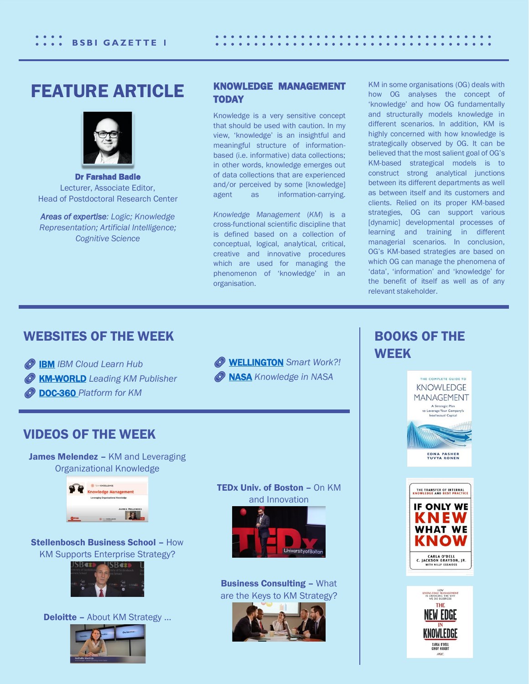## FEATURE ARTICLE



Dr Farshad Badie Lecturer, Associate Editor, Head of Postdoctoral Research Center

*Areas of expertise: Logic; Knowledge Representation; Artificial Intelligence; Cognitive Science*

### KNOWLEDGE MANAGEMENT TODAY

Knowledge is a very sensitive concept that should be used with caution. In my view, 'knowledge' is an insightful and meaningful structure of informationbased (i.e. informative) data collections; in other words, knowledge emerges out of data collections that are experienced and/or perceived by some [knowledge] agent as information-carrying.

*Knowledge Management* (*KM*) is a cross-functional scientific discipline that is defined based on a collection of conceptual, logical, analytical, critical, creative and innovative procedures which are used for managing the phenomenon of 'knowledge' in an organisation.

KM in some organisations (OG) deals with how OG analyses the concept of 'knowledge' and how OG fundamentally and structurally models knowledge in different scenarios. In addition, KM is highly concerned with how knowledge is strategically observed by OG. It can be believed that the most salient goal of OG's KM-based strategical models is to construct strong analytical junctions between its different departments as well as between itself and its customers and clients. Relied on its proper KM-based strategies, OG can support various [dynamic] developmental processes of learning and training in different managerial scenarios. In conclusion, OG's KM-based strategies are based on which OG can manage the phenomena of 'data', 'information' and 'knowledge' for the benefit of itself as well as of any relevant stakeholder.

## WEBSITES OF THE WEEK

*O* **IBM** *IBM* Cloud Learn Hub  [KM-WORLD](https://www.kmworld.com/About/What_is_Knowledge_Management) *Leading KM Publisher*

 [DOC-360](https://document360.com/blog/5-tools-commonly-used-in-knowledge-management/) *Platform for KM*

VIDEOS OF THE WEEK



## BOOKS OF THE **WEEK**





### TEDx Univ. of Boston – On KM and Innovation



Business Consulting – What are the Keys to KM Strategy?





Stellenbosch Business School – How KM Supports Enterprise Strategy?

James Melendez - KM and Leveraging Organizational Knowledge

nowledge Management

**F** 



Deloitte – About KM Strategy …

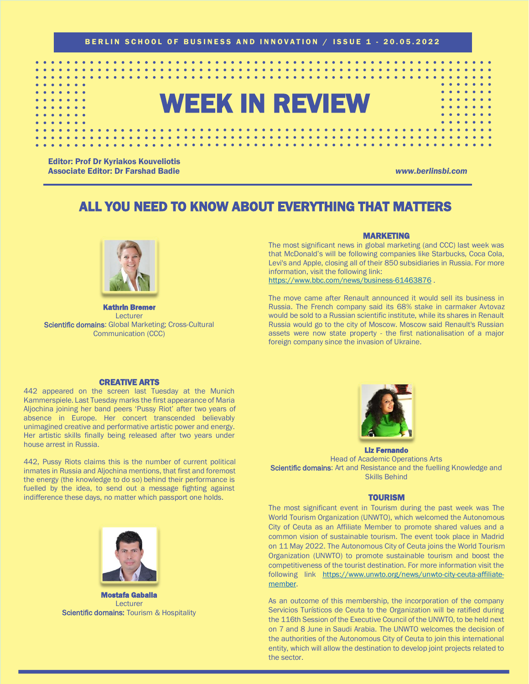BERLIN SCHOOL OF BUSINESS AND INNOVATION / ISSUE 1 - 20.05.2022

# WEEK IN REVIEW

Editor: Prof Dr Kyriakos Kouveliotis Associate Editor: Dr Farshad Badie *www.berlinsbi.com*

## ALL YOU NEED TO KNOW ABOUT EVERYTHING THAT MATTERS



Kathrin Bremer Lecturer Scientific domains: Global Marketing; Cross-Cultural Communication (CCC)

### MARKETING

The most significant news in global marketing (and CCC) last week was that McDonald's will be following companies like Starbucks, Coca Cola, Levi's and Apple, closing all of their 850 subsidiaries in Russia. For more information, visit the following link:

<https://www.bbc.com/news/business-61463876>.

The move came after Renault announced it would sell its business in Russia. The French company said its 68% stake in carmaker Avtovaz would be sold to a Russian scientific institute, while its shares in Renault Russia would go to the city of Moscow. Moscow said Renault's Russian assets were now state property - the first nationalisation of a major foreign company since the invasion of Ukraine.

### CREATIVE ARTS

442 appeared on the screen last Tuesday at the Munich Kammerspiele. Last Tuesday marks the first appearance of Maria Aljochina joining her band peers 'Pussy Riot' after two years of absence in Europe. Her concert transcended believably unimagined creative and performative artistic power and energy. Her artistic skills finally being released after two years under house arrest in Russia.

442, Pussy Riots claims this is the number of current political inmates in Russia and Aljochina mentions, that first and foremost the energy (the knowledge to do so) behind their performance is fuelled by the idea, to send out a message fighting against indifference these days, no matter which passport one holds.



Mostafa Gaballa Lecturer **Scientific domains: Tourism & Hospitality** 



Liz Fernando Head of Academic Operations Arts Scientific domains: Art and Resistance and the fuelling Knowledge and Skills Behind

### **TOURISM**

The most significant event in Tourism during the past week was The World Tourism Organization (UNWTO), which welcomed the Autonomous City of Ceuta as an Affiliate Member to promote shared values and a common vision of sustainable tourism. The event took place in Madrid on 11 May 2022. The Autonomous City of Ceuta joins the World Tourism Organization (UNWTO) to promote sustainable tourism and boost the competitiveness of the tourist destination. For more information visit the following link [https://www.unwto.org/news/unwto-city-ceuta-affiliate](https://www.unwto.org/news/unwto-city-ceuta-affiliate-member)[member.](https://www.unwto.org/news/unwto-city-ceuta-affiliate-member)

As an outcome of this membership, the incorporation of the company Servicios Turísticos de Ceuta to the Organization will be ratified during the 116th Session of the Executive Council of the UNWTO, to be held next on 7 and 8 June in Saudi Arabia. The UNWTO welcomes the decision of the authorities of the Autonomous City of Ceuta to join this international entity, which will allow the destination to develop joint projects related to the sector.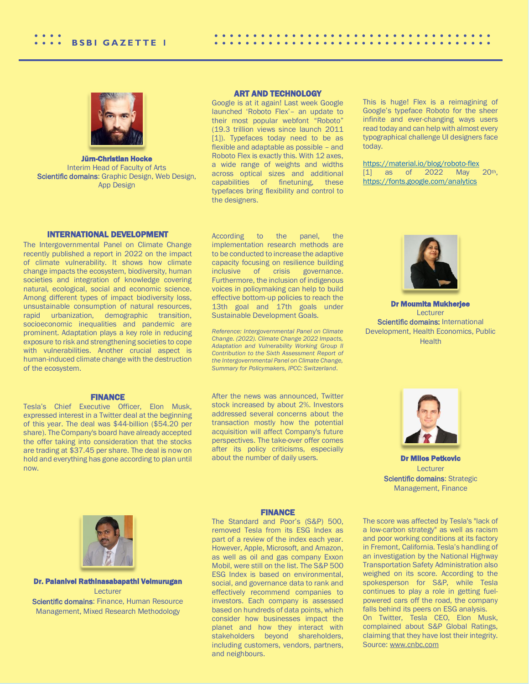

Jürn-Christian Hocke Interim Head of Faculty of Arts Scientific domains: Graphic Design, Web Design, App Design

### ART AND TECHNOLOGY

Google is at it again! Last week Google launched 'Roboto Flex'– an update to their most popular webfont "Roboto" (19.3 trillion views since launch 2011 [1]). Typefaces today need to be as flexible and adaptable as possible – and Roboto Flex is exactly this. With 12 axes, a wide range of weights and widths across optical sizes and additional capabilities of finetuning, these typefaces bring flexibility and control to the designers.

This is huge! Flex is a reimagining of Google's typeface Roboto for the sheer infinite and ever-changing ways users read today and can help with almost every typographical challenge UI designers face today.

. . . . . . . . .

<https://material.io/blog/roboto-flex> [1] as of 2022 May 20th, <https://fonts.google.com/analytics>

### INTERNATIONAL DEVELOPMENT

The Intergovernmental Panel on Climate Change recently published a report in 2022 on the impact of climate vulnerability. It shows how climate change impacts the ecosystem, biodiversity, human societies and integration of knowledge covering natural, ecological, social and economic science. Among different types of impact biodiversity loss, unsustainable consumption of natural resources, rapid urbanization, demographic transition, socioeconomic inequalities and pandemic are prominent. Adaptation plays a key role in reducing exposure to risk and strengthening societies to cope with vulnerabilities. Another crucial aspect is human-induced climate change with the destruction of the ecosystem.

### FINANCE

Tesla's Chief Executive Officer, Elon Musk, expressed interest in a Twitter deal at the beginning of this year. The deal was \$44-billion (\$54.20 per share). The Company's board have already accepted the offer taking into consideration that the stocks are trading at \$37.45 per share. The deal is now on hold and everything has gone according to plan until now.

According to the panel, the implementation research methods are to be conducted to increase the adaptive capacity focusing on resilience building inclusive of crisis governance. Furthermore, the inclusion of indigenous voices in policymaking can help to build effective bottom-up policies to reach the 13th goal and 17th goals under Sustainable Development Goals.

*Reference: Intergovernmental Panel on Climate Change. (2022). Climate Change 2022 Impacts, Adaptation and Vulnerability Working Group II Contribution to the Sixth Assessment Report of the Intergovernmental Panel on Climate Change, Summary for Policymakers, IPCC: Switzerland*.

After the news was announced, Twitter stock increased by about 2%. Investors addressed several concerns about the transaction mostly how the potential acquisition will affect Company's future perspectives. The take-over offer comes after its policy criticisms, especially about the number of daily users.



Dr. Palanivel Rathinasabapathi Velmurugan Lecturer

Scientific domains: Finance, Human Resource Management, Mixed Research Methodology

### **FINANCE**

The Standard and Poor's (S&P) 500, removed Tesla from its ESG Index as part of a review of the index each year. However, Apple, Microsoft, and Amazon, as well as oil and gas company Exxon Mobil, were still on the list. The S&P 500 ESG Index is based on environmental, social, and governance data to rank and effectively recommend companies to investors. Each company is assessed based on hundreds of data points, which consider how businesses impact the planet and how they interact with stakeholders beyond shareholders, including customers, vendors, partners, and neighbours.



Dr Moumita Mukherjee Lecturer Scientific domains: International Development, Health Economics, Public Health



Dr Milos Petkovic Lecturer **Scientific domains: Strategic** Management, Finance

The score was affected by Tesla's "lack of a low-carbon strategy" as well as racism and poor working conditions at its factory in Fremont, California. Tesla's handling of an investigation by the National Highway Transportation Safety Administration also weighed on its score. According to the spokesperson for S&P, while Tesla continues to play a role in getting fuelpowered cars off the road, the company falls behind its peers on ESG analysis. On Twitter, Tesla CEO, Elon Musk,

complained about S&P Global Ratings, claiming that they have lost their integrity. Source[: www.cnbc.com](http://www.cnbc.com/)